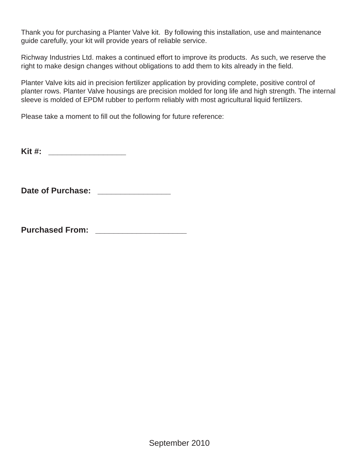Thank you for purchasing a Planter Valve kit. By following this installation, use and maintenance guide carefully, your kit will provide years of reliable service.

Richway Industries Ltd. makes a continued effort to improve its products. As such, we reserve the right to make design changes without obligations to add them to kits already in the field.

Planter Valve kits aid in precision fertilizer application by providing complete, positive control of planter rows. Planter Valve housings are precision molded for long life and high strength. The internal sleeve is molded of EPDM rubber to perform reliably with most agricultural liquid fertilizers.

Please take a moment to fill out the following for future reference:

**Kit #: \_\_\_\_\_\_\_\_\_\_\_\_\_\_\_\_\_** 

Date of Purchase: **We also also be a set of Purchase:** 

**Purchased From: \_\_\_\_\_\_\_\_\_\_\_\_\_\_\_\_\_\_\_\_**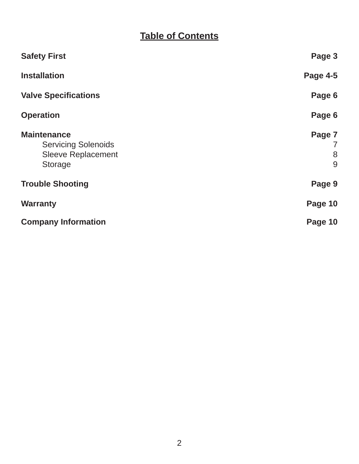# **Table of Contents**

| <b>Safety First</b>                                                                      | Page 3                |
|------------------------------------------------------------------------------------------|-----------------------|
| <b>Installation</b>                                                                      | <b>Page 4-5</b>       |
| <b>Valve Specifications</b>                                                              | Page 6                |
| <b>Operation</b>                                                                         | Page 6                |
| <b>Maintenance</b><br><b>Servicing Solenoids</b><br><b>Sleeve Replacement</b><br>Storage | Page 7<br>7<br>8<br>9 |
| <b>Trouble Shooting</b>                                                                  | Page 9                |
| <b>Warranty</b>                                                                          | Page 10               |
| <b>Company Information</b>                                                               | Page 10               |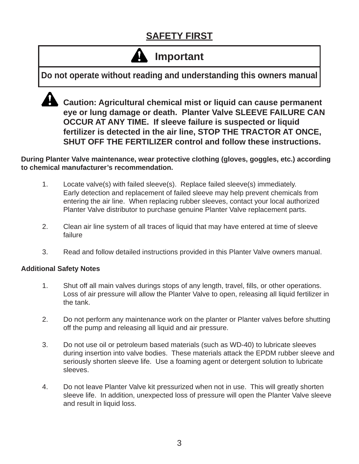# **SAFETY FIRST**

# **Important**

**Do not operate without reading and understanding this owners manual**



 **Caution: Agricultural chemical mist or liquid can cause permanent eye or lung damage or death. Planter Valve SLEEVE FAILURE CAN OCCUR AT ANY TIME. If sleeve failure is suspected or liquid fertilizer is detected in the air line, STOP THE TRACTOR AT ONCE, SHUT OFF THE FERTILIZER control and follow these instructions.**

**During Planter Valve maintenance, wear protective clothing (gloves, goggles, etc.) according to chemical manufacturer's recommendation.**

- 1. Locate valve(s) with failed sleeve(s). Replace failed sleeve(s) immediately. Early detection and replacement of failed sleeve may help prevent chemicals from entering the air line. When replacing rubber sleeves, contact your local authorized Planter Valve distributor to purchase genuine Planter Valve replacement parts.
- 2. Clean air line system of all traces of liquid that may have entered at time of sleeve failure
- 3. Read and follow detailed instructions provided in this Planter Valve owners manual.

#### **Additional Safety Notes**

- 1. Shut off all main valves durings stops of any length, travel, fills, or other operations. Loss of air pressure will allow the Planter Valve to open, releasing all liquid fertilizer in the tank.
- 2. Do not perform any maintenance work on the planter or Planter valves before shutting off the pump and releasing all liquid and air pressure.
- 3. Do not use oil or petroleum based materials (such as WD-40) to lubricate sleeves during insertion into valve bodies. These materials attack the EPDM rubber sleeve and seriously shorten sleeve life. Use a foaming agent or detergent solution to lubricate sleeves.
- 4. Do not leave Planter Valve kit pressurized when not in use. This will greatly shorten sleeve life. In addition, unexpected loss of pressure will open the Planter Valve sleeve and result in liquid loss.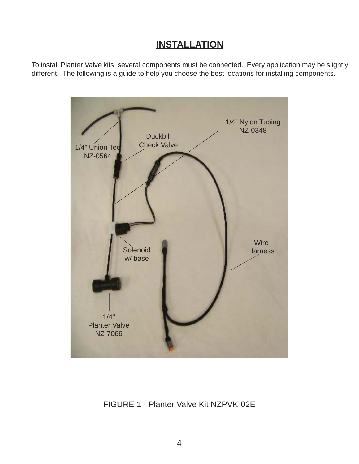## **INSTALLATION**

To install Planter Valve kits, several components must be connected. Every application may be slightly different. The following is a guide to help you choose the best locations for installing components.



### FIGURE 1 - Planter Valve Kit NZPVK-02E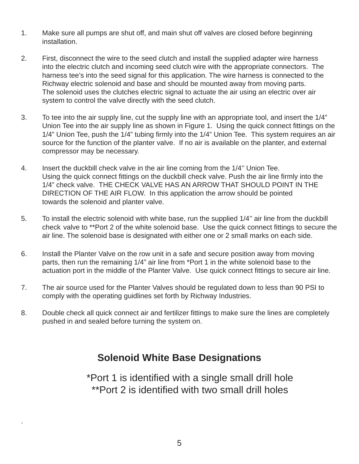- 1. Make sure all pumps are shut off, and main shut off valves are closed before beginning installation.
- 2. First, disconnect the wire to the seed clutch and install the supplied adapter wire harness into the electric clutch and incoming seed clutch wire with the appropriate connectors. The harness tee's into the seed signal for this application. The wire harness is connected to the Richway electric solenoid and base and should be mounted away from moving parts. The solenoid uses the clutches electric signal to actuate the air using an electric over air system to control the valve directly with the seed clutch.
- 3. To tee into the air supply line, cut the supply line with an appropriate tool, and insert the 1/4" Union Tee into the air supply line as shown in Figure 1. Using the quick connect fittings on the 1/4" Union Tee, push the 1/4" tubing firmly into the 1/4" Union Tee. This system requires an air source for the function of the planter valve. If no air is available on the planter, and external compressor may be necessary.
- 4. Insert the duckbill check valve in the air line coming from the 1/4'' Union Tee. Using the quick connect fittings on the duckbill check valve. Push the air line firmly into the 1/4" check valve. THE CHECK VALVE HAS AN ARROW THAT SHOULD POINT IN THE DIRECTION OF THE AIR FLOW. In this application the arrow should be pointed towards the solenoid and planter valve.
- 5. To install the electric solenoid with white base, run the supplied 1/4'' air line from the duckbill check valve to \*\*Port 2 of the white solenoid base. Use the quick connect fittings to secure the air line. The solenoid base is designated with either one or 2 small marks on each side.
- 6. Install the Planter Valve on the row unit in a safe and secure position away from moving parts, then run the remaining 1/4" air line from \*Port 1 in the white solenoid base to the actuation port in the middle of the Planter Valve. Use quick connect fittings to secure air line.
- 7. The air source used for the Planter Valves should be regulated down to less than 90 PSI to comply with the operating guidlines set forth by Richway Industries.
- 8. Double check all quick connect air and fertilizer fittings to make sure the lines are completely pushed in and sealed before turning the system on.

## **Solenoid White Base Designations**

\*Port 1 is identified with a single small drill hole \*\*Port 2 is identified with two small drill holes

.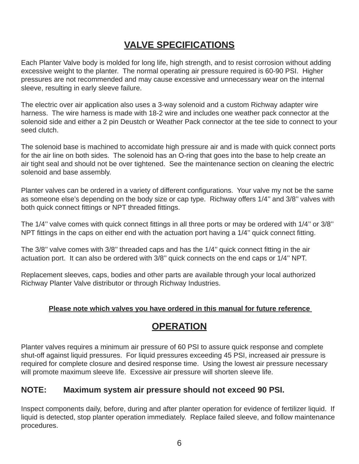## **VALVE SPECIFICATIONS**

Each Planter Valve body is molded for long life, high strength, and to resist corrosion without adding excessive weight to the planter. The normal operating air pressure required is 60-90 PSI. Higher pressures are not recommended and may cause excessive and unnecessary wear on the internal sleeve, resulting in early sleeve failure.

The electric over air application also uses a 3-way solenoid and a custom Richway adapter wire harness. The wire harness is made with 18-2 wire and includes one weather pack connector at the solenoid side and either a 2 pin Deustch or Weather Pack connector at the tee side to connect to your seed clutch.

The solenoid base is machined to accomidate high pressure air and is made with quick connect ports for the air line on both sides. The solenoid has an O-ring that goes into the base to help create an air tight seal and should not be over tightened. See the maintenance section on cleaning the electric solenoid and base assembly.

Planter valves can be ordered in a variety of different configurations. Your valve my not be the same as someone else's depending on the body size or cap type. Richway offers 1/4'' and 3/8'' valves with both quick connect fittings or NPT threaded fittings.

The 1/4" valve comes with quick connect fittings in all three ports or may be ordered with 1/4" or 3/8" NPT fittings in the caps on either end with the actuation port having a 1/4" quick connect fitting.

The 3/8" valve comes with 3/8" threaded caps and has the 1/4" quick connect fitting in the air actuation port. It can also be ordered with 3/8'' quick connects on the end caps or 1/4'' NPT.

Replacement sleeves, caps, bodies and other parts are available through your local authorized Richway Planter Valve distributor or through Richway Industries.

#### **Please note which valves you have ordered in this manual for future reference**

## **OPERATION**

Planter valves requires a minimum air pressure of 60 PSI to assure quick response and complete shut-off against liquid pressures. For liquid pressures exceeding 45 PSI, increased air pressure is required for complete closure and desired response time. Using the lowest air pressure necessary will promote maximum sleeve life. Excessive air pressure will shorten sleeve life.

#### **NOTE: Maximum system air pressure should not exceed 90 PSI.**

Inspect components daily, before, during and after planter operation for evidence of fertilizer liquid. If liquid is detected, stop planter operation immediately. Replace failed sleeve, and follow maintenance procedures.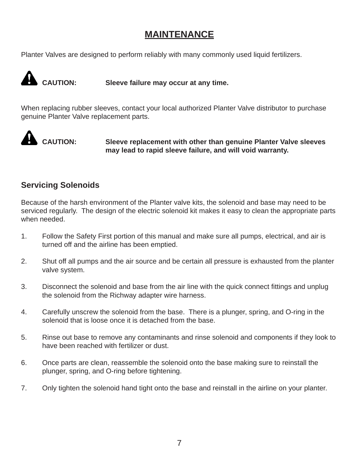## **MAINTENANCE**

Planter Valves are designed to perform reliably with many commonly used liquid fertilizers.



**CAUTION: Sleeve failure may occur at any time.**

When replacing rubber sleeves, contact your local authorized Planter Valve distributor to purchase genuine Planter Valve replacement parts.



**CAUTION: Sleeve replacement with other than genuine Planter Valve sleeves may lead to rapid sleeve failure, and will void warranty.**

### **Servicing Solenoids**

Because of the harsh environment of the Planter valve kits, the solenoid and base may need to be serviced regularly. The design of the electric solenoid kit makes it easy to clean the appropriate parts when needed.

- 1. Follow the Safety First portion of this manual and make sure all pumps, electrical, and air is turned off and the airline has been emptied.
- 2. Shut off all pumps and the air source and be certain all pressure is exhausted from the planter valve system.
- 3. Disconnect the solenoid and base from the air line with the quick connect fittings and unplug the solenoid from the Richway adapter wire harness.
- 4. Carefully unscrew the solenoid from the base. There is a plunger, spring, and O-ring in the solenoid that is loose once it is detached from the base.
- 5. Rinse out base to remove any contaminants and rinse solenoid and components if they look to have been reached with fertilizer or dust.
- 6. Once parts are clean, reassemble the solenoid onto the base making sure to reinstall the plunger, spring, and O-ring before tightening.
- 7. Only tighten the solenoid hand tight onto the base and reinstall in the airline on your planter.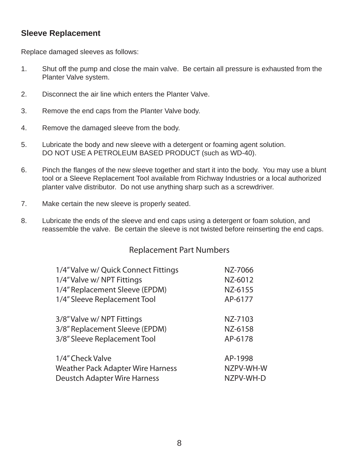#### **Sleeve Replacement**

Replace damaged sleeves as follows:

- 1. Shut off the pump and close the main valve. Be certain all pressure is exhausted from the Planter Valve system.
- 2. Disconnect the air line which enters the Planter Valve.
- 3. Remove the end caps from the Planter Valve body.
- 4. Remove the damaged sleeve from the body.
- 5. Lubricate the body and new sleeve with a detergent or foaming agent solution. DO NOT USE A PETROLEUM BASED PRODUCT (such as WD-40).
- 6. Pinch the flanges of the new sleeve together and start it into the body. You may use a blunt tool or a Sleeve Replacement Tool available from Richway Industries or a local authorized planter valve distributor. Do not use anything sharp such as a screwdriver.
- 7. Make certain the new sleeve is properly seated.
- 8. Lubricate the ends of the sleeve and end caps using a detergent or foam solution, and reassemble the valve. Be certain the sleeve is not twisted before reinserting the end caps.

#### Replacement Part Numbers

| 1/4" Valve w/ Quick Connect Fittings     | NZ-7066   |
|------------------------------------------|-----------|
| 1/4" Valve w/ NPT Fittings               | NZ-6012   |
| 1/4" Replacement Sleeve (EPDM)           | NZ-6155   |
| 1/4" Sleeve Replacement Tool             | AP-6177   |
| 3/8" Valve w/ NPT Fittings               | NZ-7103   |
| 3/8" Replacement Sleeve (EPDM)           | NZ-6158   |
| 3/8" Sleeve Replacement Tool             | AP-6178   |
| 1/4" Check Valve                         | AP-1998   |
| <b>Weather Pack Adapter Wire Harness</b> | NZPV-WH-W |
| <b>Deustch Adapter Wire Harness</b>      | NZPV-WH-D |
|                                          |           |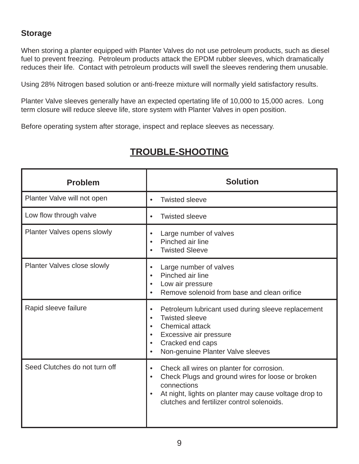#### **Storage**

When storing a planter equipped with Planter Valves do not use petroleum products, such as diesel fuel to prevent freezing. Petroleum products attack the EPDM rubber sleeves, which dramatically reduces their life. Contact with petroleum products will swell the sleeves rendering them unusable.

Using 28% Nitrogen based solution or anti-freeze mixture will normally yield satisfactory results.

Planter Valve sleeves generally have an expected opertating life of 10,000 to 15,000 acres. Long term closure will reduce sleeve life, store system with Planter Valves in open position.

Before operating system after storage, inspect and replace sleeves as necessary.

| <b>Problem</b>                | <b>Solution</b>                                                                                                                                                                                                                  |
|-------------------------------|----------------------------------------------------------------------------------------------------------------------------------------------------------------------------------------------------------------------------------|
| Planter Valve will not open   | <b>Twisted sleeve</b><br>$\bullet$                                                                                                                                                                                               |
| Low flow through valve        | <b>Twisted sleeve</b><br>$\bullet$                                                                                                                                                                                               |
| Planter Valves opens slowly   | Large number of valves<br>Pinched air line<br><b>Twisted Sleeve</b>                                                                                                                                                              |
| Planter Valves close slowly   | Large number of valves<br>Pinched air line<br>Low air pressure<br>Remove solenoid from base and clean orifice                                                                                                                    |
| Rapid sleeve failure          | Petroleum lubricant used during sleeve replacement<br><b>Twisted sleeve</b><br><b>Chemical attack</b><br>Excessive air pressure<br>Cracked end caps<br>Non-genuine Planter Valve sleeves                                         |
| Seed Clutches do not turn off | Check all wires on planter for corrosion.<br>Check Plugs and ground wires for loose or broken<br>$\bullet$<br>connections<br>At night, lights on planter may cause voltage drop to<br>clutches and fertilizer control solenoids. |

## **TROUBLE-SHOOTING**